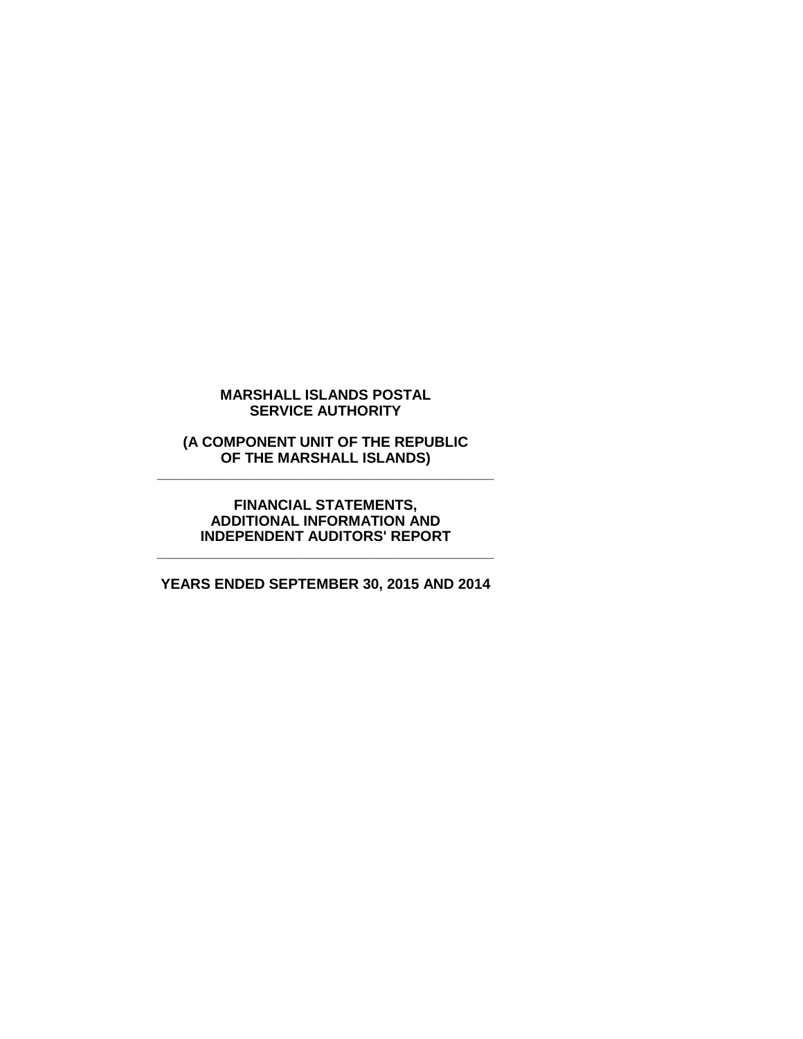**(A COMPONENT UNIT OF THE REPUBLIC OF THE MARSHALL ISLANDS) \_\_\_\_\_\_\_\_\_\_\_\_\_\_\_\_\_\_\_\_\_\_\_\_\_\_\_\_\_\_\_\_\_\_\_\_\_\_\_\_\_\_**

#### **FINANCIAL STATEMENTS, ADDITIONAL INFORMATION AND INDEPENDENT AUDITORS' REPORT**

**YEARS ENDED SEPTEMBER 30, 2015 AND 2014**

**\_\_\_\_\_\_\_\_\_\_\_\_\_\_\_\_\_\_\_\_\_\_\_\_\_\_\_\_\_\_\_\_\_\_\_\_\_\_\_\_\_\_**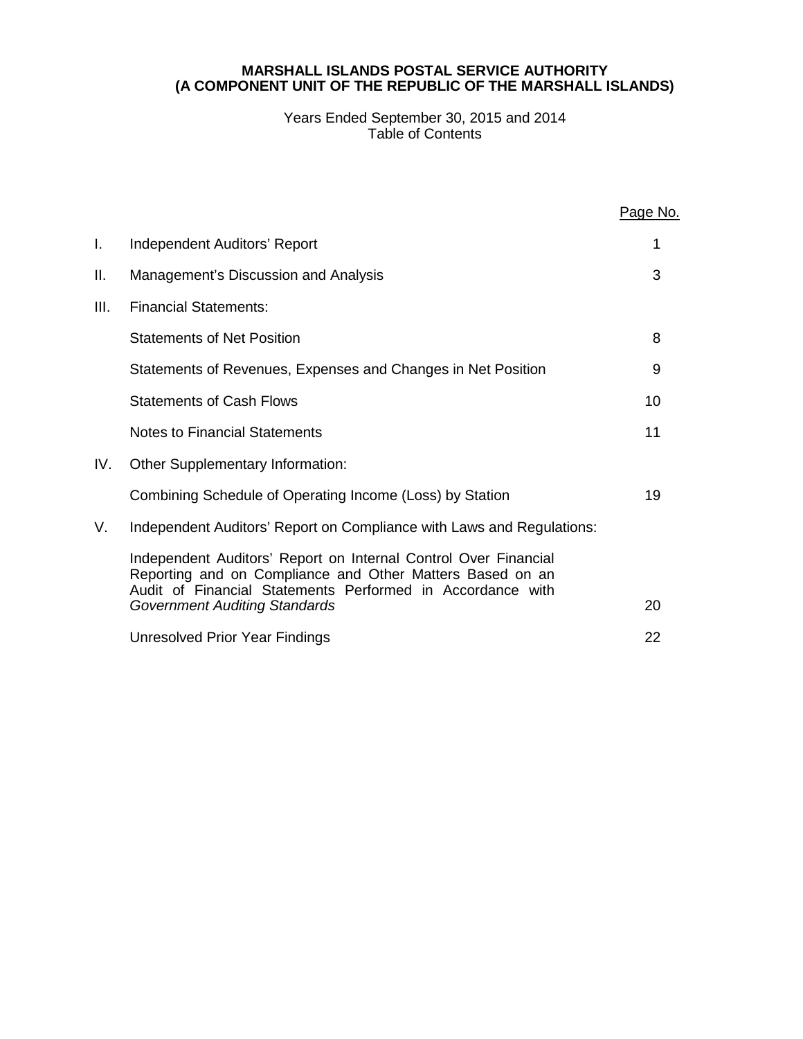## **MARSHALL ISLANDS POSTAL SERVICE AUTHORITY (A COMPONENT UNIT OF THE REPUBLIC OF THE MARSHALL ISLANDS)**

## Years Ended September 30, 2015 and 2014 Table of Contents

|      |                                                                                                                                                                                            | Page No. |
|------|--------------------------------------------------------------------------------------------------------------------------------------------------------------------------------------------|----------|
| I.   | Independent Auditors' Report                                                                                                                                                               | 1        |
| П.   | Management's Discussion and Analysis                                                                                                                                                       | 3        |
| III. | <b>Financial Statements:</b>                                                                                                                                                               |          |
|      | <b>Statements of Net Position</b>                                                                                                                                                          | 8        |
|      | Statements of Revenues, Expenses and Changes in Net Position                                                                                                                               | 9        |
|      | <b>Statements of Cash Flows</b>                                                                                                                                                            | 10       |
|      | <b>Notes to Financial Statements</b>                                                                                                                                                       | 11       |
| IV.  | Other Supplementary Information:                                                                                                                                                           |          |
|      | Combining Schedule of Operating Income (Loss) by Station                                                                                                                                   | 19       |
| V.   | Independent Auditors' Report on Compliance with Laws and Regulations:                                                                                                                      |          |
|      | Independent Auditors' Report on Internal Control Over Financial<br>Reporting and on Compliance and Other Matters Based on an<br>Audit of Financial Statements Performed in Accordance with |          |
|      | <b>Government Auditing Standards</b>                                                                                                                                                       | 20       |
|      | <b>Unresolved Prior Year Findings</b>                                                                                                                                                      | 22       |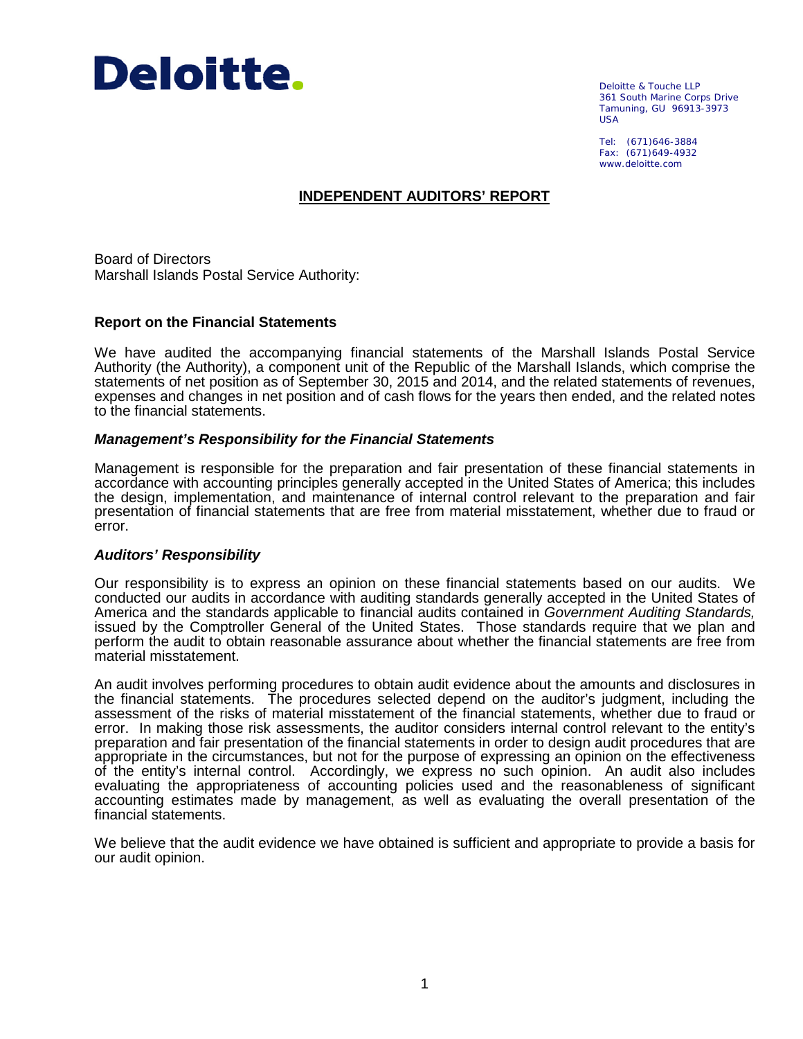

Deloitte & Touche LLP 361 South Marine Corps Drive Tamuning, GU 96913-3973 USA

Tel: (671)646-3884 Fax: (671)649-4932 www.deloitte.com

## **INDEPENDENT AUDITORS' REPORT**

Board of Directors Marshall Islands Postal Service Authority:

#### **Report on the Financial Statements**

We have audited the accompanying financial statements of the Marshall Islands Postal Service Authority (the Authority), a component unit of the Republic of the Marshall Islands, which comprise the statements of net position as of September 30, 2015 and 2014, and the related statements of revenues, expenses and changes in net position and of cash flows for the years then ended, and the related notes to the financial statements.

#### *Management's Responsibility for the Financial Statements*

Management is responsible for the preparation and fair presentation of these financial statements in accordance with accounting principles generally accepted in the United States of America; this includes the design, implementation, and maintenance of internal control relevant to the preparation and fair presentation of financial statements that are free from material misstatement, whether due to fraud or error.

#### *Auditors' Responsibility*

Our responsibility is to express an opinion on these financial statements based on our audits. We conducted our audits in accordance with auditing standards generally accepted in the United States of America and the standards applicable to financial audits contained in *Government Auditing Standards,* issued by the Comptroller General of the United States. Those standards require that we plan and perform the audit to obtain reasonable assurance about whether the financial statements are free from material misstatement.

An audit involves performing procedures to obtain audit evidence about the amounts and disclosures in the financial statements. The procedures selected depend on the auditor's judgment, including the assessment of the risks of material misstatement of the financial statements, whether due to fraud or error. In making those risk assessments, the auditor considers internal control relevant to the entity's preparation and fair presentation of the financial statements in order to design audit procedures that are appropriate in the circumstances, but not for the purpose of expressing an opinion on the effectiveness of the entity's internal control. Accordingly, we express no such opinion. An audit also includes evaluating the appropriateness of accounting policies used and the reasonableness of significant accounting estimates made by management, as well as evaluating the overall presentation of the financial statements.

We believe that the audit evidence we have obtained is sufficient and appropriate to provide a basis for our audit opinion.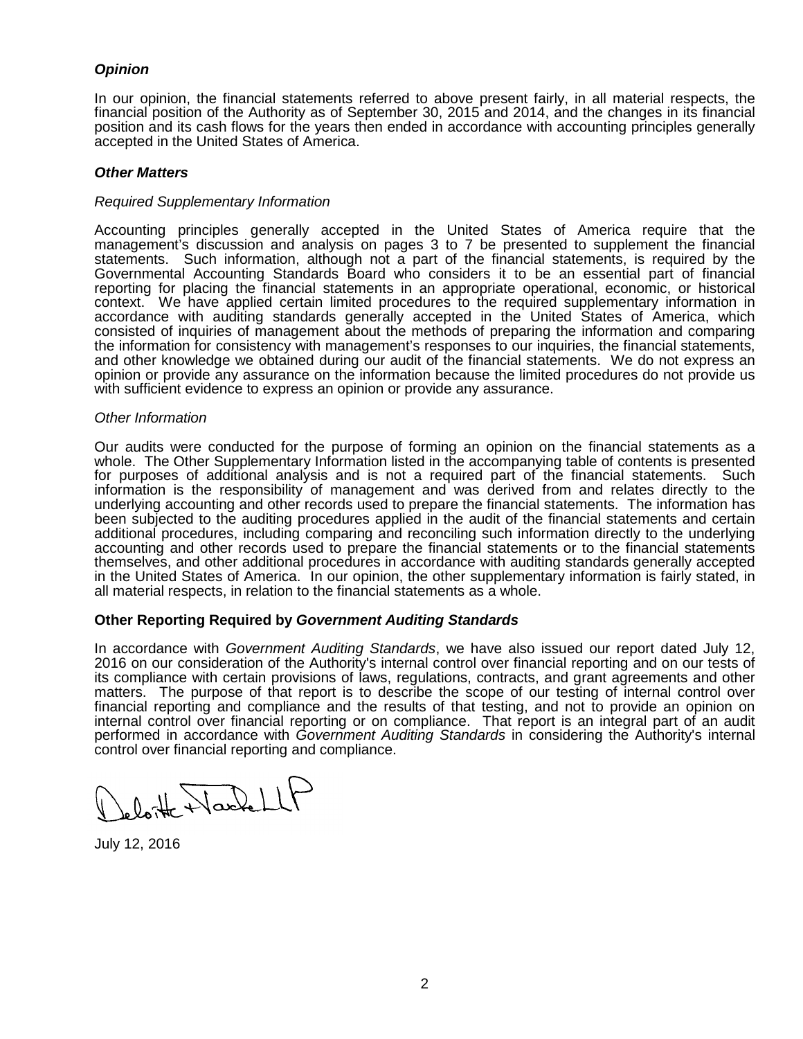## *Opinion*

In our opinion, the financial statements referred to above present fairly, in all material respects, the financial position of the Authority as of September 30, 2015 and 2014, and the changes in its financial position and its cash flows for the years then ended in accordance with accounting principles generally accepted in the United States of America.

## *Other Matters*

### *Required Supplementary Information*

Accounting principles generally accepted in the United States of America require that the management's discussion and analysis on pages 3 to 7 be presented to supplement the financial statements. Such information, although not a part of the financial statements, is required by the Governmental Accounting Standards Board who considers it to be an essential part of financial reporting for placing the financial statements in an appropriate operational, economic, or historical context. We have applied certain limited procedures to the required supplementary information in accordance with auditing standards generally accepted in the United States of America, which consisted of inquiries of management about the methods of preparing the information and comparing the information for consistency with management's responses to our inquiries, the financial statements, and other knowledge we obtained during our audit of the financial statements. We do not express an opinion or provide any assurance on the information because the limited procedures do not provide us with sufficient evidence to express an opinion or provide any assurance.

#### *Other Information*

Our audits were conducted for the purpose of forming an opinion on the financial statements as a whole. The Other Supplementary Information listed in the accompanying table of contents is presented for purposes of additional analysis and is not a required part of the financial statements. Such information is the responsibility of management and was derived from and relates directly to the underlying accounting and other records used to prepare the financial statements. The information has been subjected to the auditing procedures applied in the audit of the financial statements and certain additional procedures, including comparing and reconciling such information directly to the underlying accounting and other records used to prepare the financial statements or to the financial statements themselves, and other additional procedures in accordance with auditing standards generally accepted in the United States of America. In our opinion, the other supplementary information is fairly stated, in all material respects, in relation to the financial statements as a whole.

### **Other Reporting Required by** *Government Auditing Standards*

In accordance with *Government Auditing Standards*, we have also issued our report dated July 12, 2016 on our consideration of the Authority's internal control over financial reporting and on our tests of its compliance with certain provisions of laws, regulations, contracts, and grant agreements and other matters. The purpose of that report is to describe the scope of our testing of internal control over financial reporting and compliance and the results of that testing, and not to provide an opinion on internal control over financial reporting or on compliance. That report is an integral part of an audit performed in accordance with *Government Auditing Standards* in considering the Authority's internal control over financial reporting and compliance.

beloit NachellP

July 12, 2016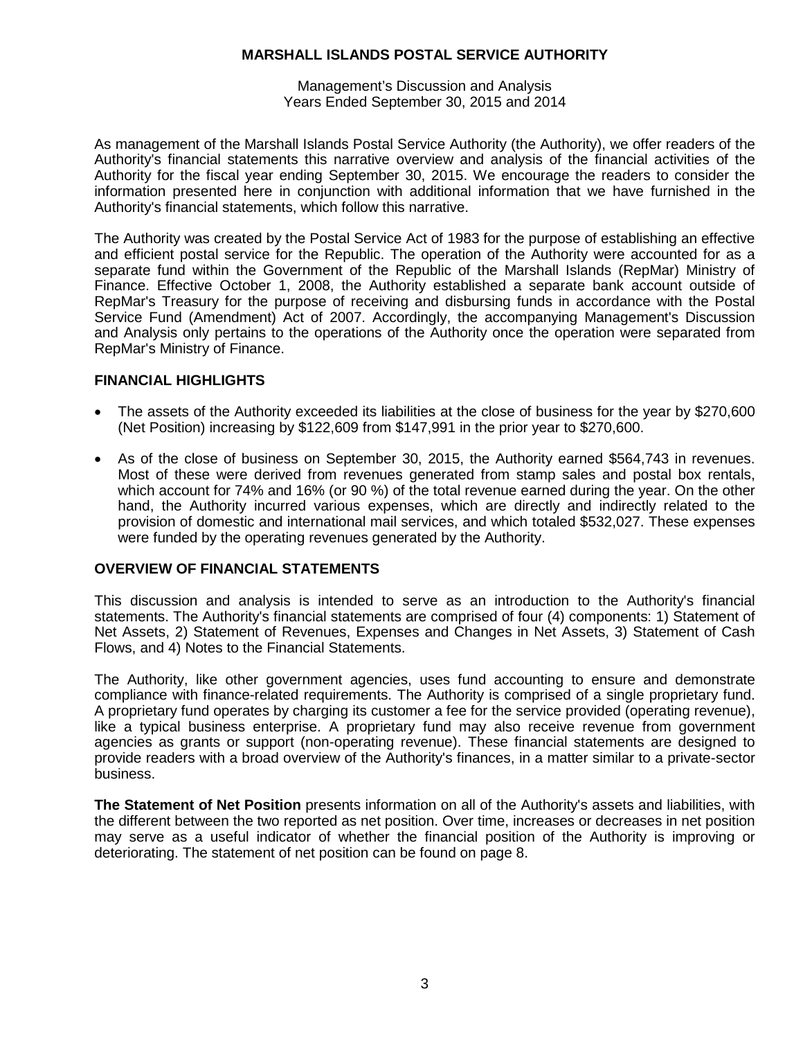#### Management's Discussion and Analysis Years Ended September 30, 2015 and 2014

As management of the Marshall Islands Postal Service Authority (the Authority), we offer readers of the Authority's financial statements this narrative overview and analysis of the financial activities of the Authority for the fiscal year ending September 30, 2015. We encourage the readers to consider the information presented here in conjunction with additional information that we have furnished in the Authority's financial statements, which follow this narrative.

The Authority was created by the Postal Service Act of 1983 for the purpose of establishing an effective and efficient postal service for the Republic. The operation of the Authority were accounted for as a separate fund within the Government of the Republic of the Marshall Islands (RepMar) Ministry of Finance. Effective October 1, 2008, the Authority established a separate bank account outside of RepMar's Treasury for the purpose of receiving and disbursing funds in accordance with the Postal Service Fund (Amendment) Act of 2007. Accordingly, the accompanying Management's Discussion and Analysis only pertains to the operations of the Authority once the operation were separated from RepMar's Ministry of Finance.

### **FINANCIAL HIGHLIGHTS**

- The assets of the Authority exceeded its liabilities at the close of business for the year by \$270,600 (Net Position) increasing by \$122,609 from \$147,991 in the prior year to \$270,600.
- As of the close of business on September 30, 2015, the Authority earned \$564,743 in revenues. Most of these were derived from revenues generated from stamp sales and postal box rentals, which account for 74% and 16% (or 90 %) of the total revenue earned during the year. On the other hand, the Authority incurred various expenses, which are directly and indirectly related to the provision of domestic and international mail services, and which totaled \$532,027. These expenses were funded by the operating revenues generated by the Authority.

### **OVERVIEW OF FINANCIAL STATEMENTS**

This discussion and analysis is intended to serve as an introduction to the Authority's financial statements. The Authority's financial statements are comprised of four (4) components: 1) Statement of Net Assets, 2) Statement of Revenues, Expenses and Changes in Net Assets, 3) Statement of Cash Flows, and 4) Notes to the Financial Statements.

The Authority, like other government agencies, uses fund accounting to ensure and demonstrate compliance with finance-related requirements. The Authority is comprised of a single proprietary fund. A proprietary fund operates by charging its customer a fee for the service provided (operating revenue), like a typical business enterprise. A proprietary fund may also receive revenue from government agencies as grants or support (non-operating revenue). These financial statements are designed to provide readers with a broad overview of the Authority's finances, in a matter similar to a private-sector business.

**The Statement of Net Position** presents information on all of the Authority's assets and liabilities, with the different between the two reported as net position. Over time, increases or decreases in net position may serve as a useful indicator of whether the financial position of the Authority is improving or deteriorating. The statement of net position can be found on page 8.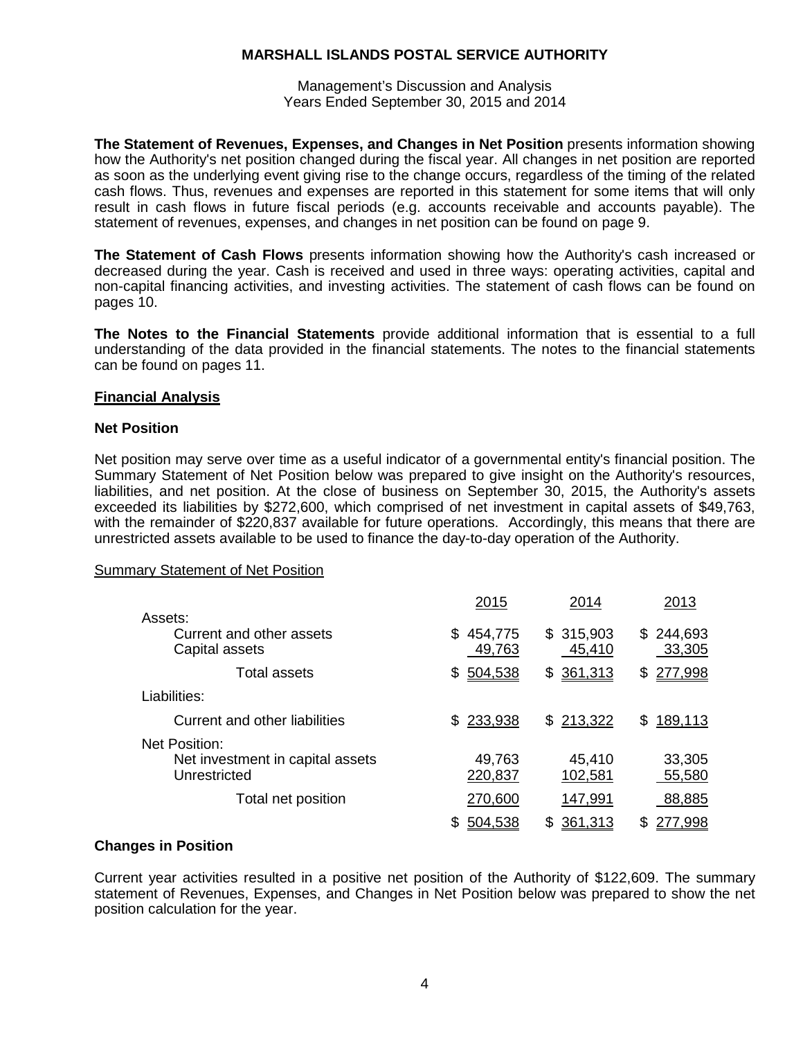Management's Discussion and Analysis Years Ended September 30, 2015 and 2014

**The Statement of Revenues, Expenses, and Changes in Net Position** presents information showing how the Authority's net position changed during the fiscal year. All changes in net position are reported as soon as the underlying event giving rise to the change occurs, regardless of the timing of the related cash flows. Thus, revenues and expenses are reported in this statement for some items that will only result in cash flows in future fiscal periods (e.g. accounts receivable and accounts payable). The statement of revenues, expenses, and changes in net position can be found on page 9.

**The Statement of Cash Flows** presents information showing how the Authority's cash increased or decreased during the year. Cash is received and used in three ways: operating activities, capital and non-capital financing activities, and investing activities. The statement of cash flows can be found on pages 10.

**The Notes to the Financial Statements** provide additional information that is essential to a full understanding of the data provided in the financial statements. The notes to the financial statements can be found on pages 11.

### **Financial Analysis**

#### **Net Position**

Net position may serve over time as a useful indicator of a governmental entity's financial position. The Summary Statement of Net Position below was prepared to give insight on the Authority's resources, liabilities, and net position. At the close of business on September 30, 2015, the Authority's assets exceeded its liabilities by \$272,600, which comprised of net investment in capital assets of \$49,763, with the remainder of \$220,837 available for future operations. Accordingly, this means that there are unrestricted assets available to be used to finance the day-to-day operation of the Authority.

#### Summary Statement of Net Position

|                                                  | 2015                     | 2014                 | 2013                |
|--------------------------------------------------|--------------------------|----------------------|---------------------|
| Assets:                                          |                          |                      |                     |
| Current and other assets<br>Capital assets       | 454,775<br>\$.<br>49,763 | \$315,903<br>45,410  | \$244,693<br>33,305 |
| <b>Total assets</b>                              | 504,538<br>S.            | <u>361,313</u><br>\$ | 277,998<br>\$       |
| Liabilities:                                     |                          |                      |                     |
| Current and other liabilities                    | \$233,938                | 213,322<br>\$        | \$<br>189,113       |
| <b>Net Position:</b>                             |                          |                      |                     |
| Net investment in capital assets<br>Unrestricted | 49,763<br>220,837        | 45,410<br>102,581    | 33,305<br>55,580    |
| Total net position                               | 270,600                  | 147,991              | 88,885              |
|                                                  | 504,538                  | 361,313<br>S         | S<br><u>7,998</u>   |

### **Changes in Position**

Current year activities resulted in a positive net position of the Authority of \$122,609. The summary statement of Revenues, Expenses, and Changes in Net Position below was prepared to show the net position calculation for the year.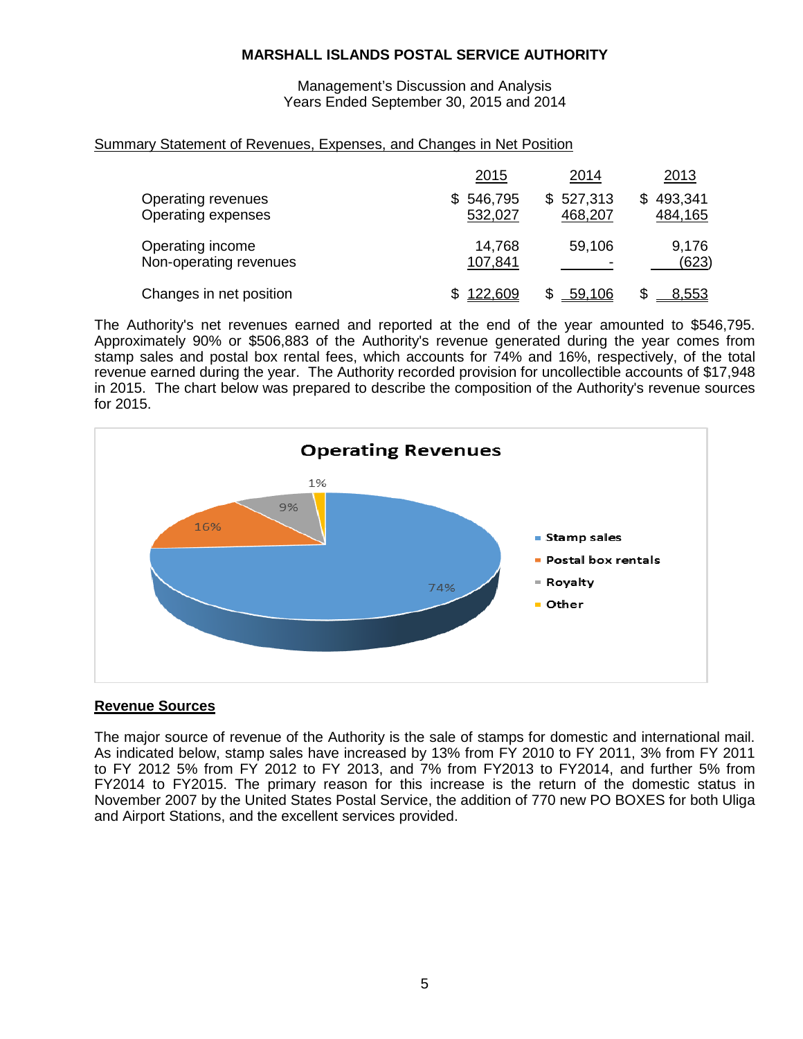Management's Discussion and Analysis Years Ended September 30, 2015 and 2014

#### Summary Statement of Revenues, Expenses, and Changes in Net Position

|                                            | 2015                      | 2014                 | 2013                      |
|--------------------------------------------|---------------------------|----------------------|---------------------------|
| Operating revenues<br>Operating expenses   | 546,795<br>\$.<br>532,027 | \$527,313<br>468,207 | 493,341<br>\$.<br>484,165 |
| Operating income<br>Non-operating revenues | 14,768<br>107,841         | 59,106               | 9,176<br>(623)            |
| Changes in net position                    | \$122,609                 | S<br><u>59,106</u>   | <u>8,553</u>              |

The Authority's net revenues earned and reported at the end of the year amounted to \$546,795. Approximately 90% or \$506,883 of the Authority's revenue generated during the year comes from stamp sales and postal box rental fees, which accounts for 74% and 16%, respectively, of the total revenue earned during the year. The Authority recorded provision for uncollectible accounts of \$17,948 in 2015. The chart below was prepared to describe the composition of the Authority's revenue sources for 2015.



#### **Revenue Sources**

The major source of revenue of the Authority is the sale of stamps for domestic and international mail. As indicated below, stamp sales have increased by 13% from FY 2010 to FY 2011, 3% from FY 2011 to FY 2012 5% from FY 2012 to FY 2013, and 7% from FY2013 to FY2014, and further 5% from FY2014 to FY2015. The primary reason for this increase is the return of the domestic status in November 2007 by the United States Postal Service, the addition of 770 new PO BOXES for both Uliga and Airport Stations, and the excellent services provided.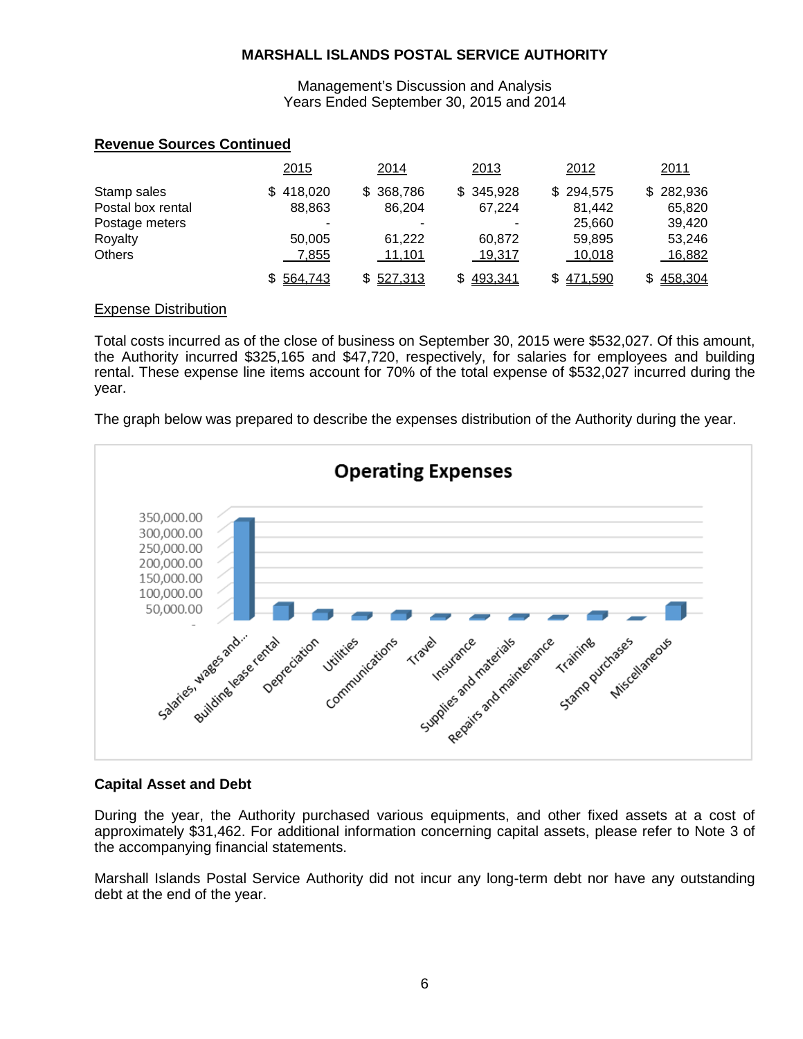Management's Discussion and Analysis Years Ended September 30, 2015 and 2014

## **Revenue Sources Continued**

|                   | 2015           | 2014      | 2013           | 2012      | 2011           |
|-------------------|----------------|-----------|----------------|-----------|----------------|
| Stamp sales       | 418,020        | \$368,786 | \$345,928      | \$294,575 | \$282,936      |
| Postal box rental | 88,863         | 86,204    | 67,224         | 81.442    | 65,820         |
| Postage meters    | ۰              |           |                | 25,660    | 39,420         |
| Royalty           | 50,005         | 61.222    | 60.872         | 59.895    | 53,246         |
| <b>Others</b>     | 7,855          | 11,101    | 19,317         | 10,018    | 16,882         |
|                   | 564,743<br>SS. | \$527,313 | 493,341<br>\$. | 471,590   | 458,304<br>\$. |

#### Expense Distribution

Total costs incurred as of the close of business on September 30, 2015 were \$532,027. Of this amount, the Authority incurred \$325,165 and \$47,720, respectively, for salaries for employees and building rental. These expense line items account for 70% of the total expense of \$532,027 incurred during the year.

The graph below was prepared to describe the expenses distribution of the Authority during the year.



### **Capital Asset and Debt**

During the year, the Authority purchased various equipments, and other fixed assets at a cost of approximately \$31,462. For additional information concerning capital assets, please refer to Note 3 of the accompanying financial statements.

Marshall Islands Postal Service Authority did not incur any long-term debt nor have any outstanding debt at the end of the year.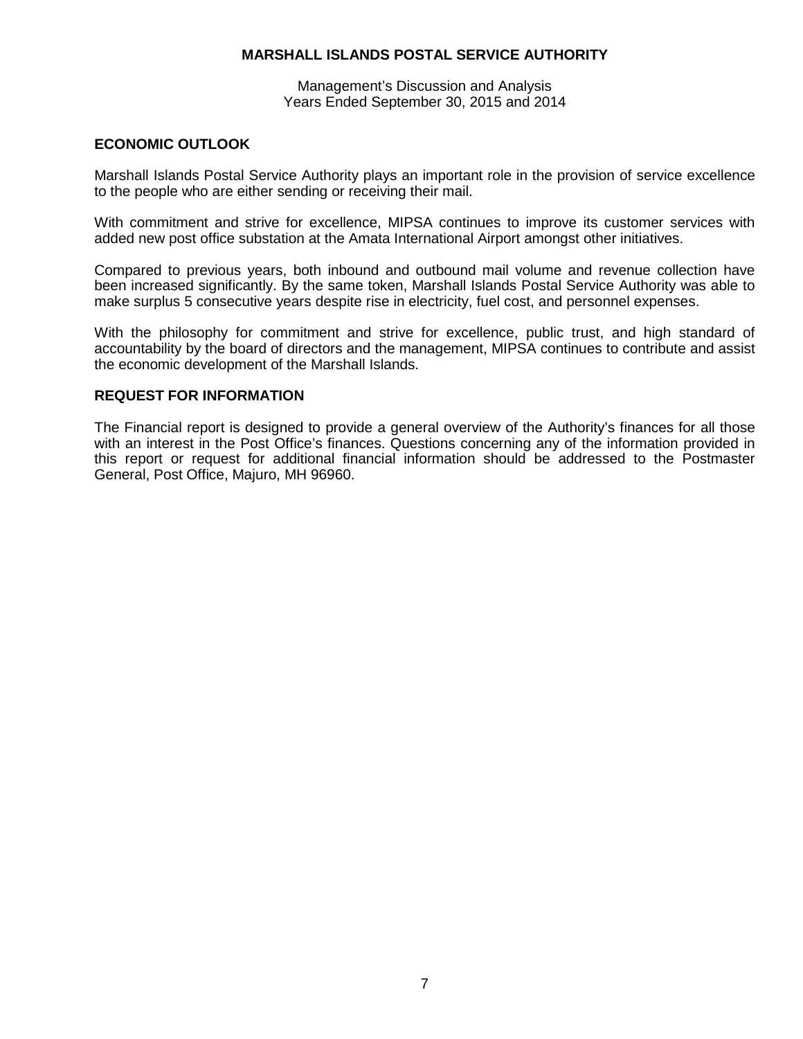Management's Discussion and Analysis Years Ended September 30, 2015 and 2014

## **ECONOMIC OUTLOOK**

Marshall Islands Postal Service Authority plays an important role in the provision of service excellence to the people who are either sending or receiving their mail.

With commitment and strive for excellence, MIPSA continues to improve its customer services with added new post office substation at the Amata International Airport amongst other initiatives.

Compared to previous years, both inbound and outbound mail volume and revenue collection have been increased significantly. By the same token, Marshall Islands Postal Service Authority was able to make surplus 5 consecutive years despite rise in electricity, fuel cost, and personnel expenses.

With the philosophy for commitment and strive for excellence, public trust, and high standard of accountability by the board of directors and the management, MIPSA continues to contribute and assist the economic development of the Marshall Islands.

### **REQUEST FOR INFORMATION**

The Financial report is designed to provide a general overview of the Authority's finances for all those with an interest in the Post Office's finances. Questions concerning any of the information provided in this report or request for additional financial information should be addressed to the Postmaster General, Post Office, Majuro, MH 96960.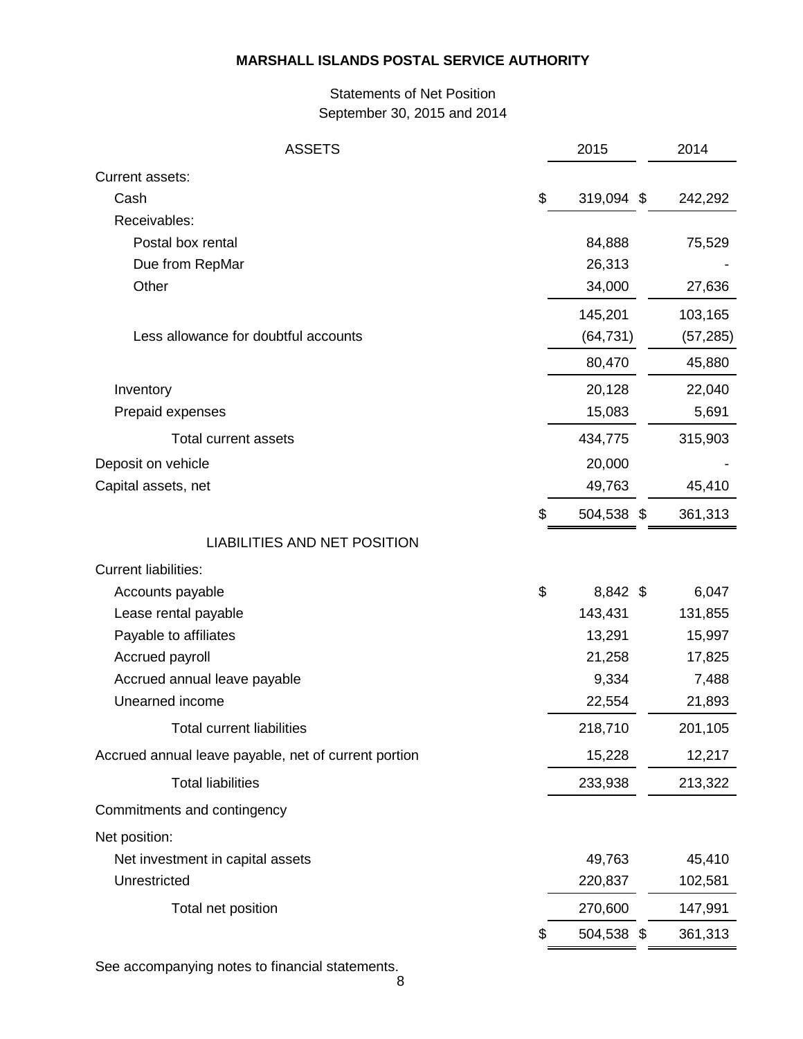## Statements of Net Position September 30, 2015 and 2014

| <b>ASSETS</b>                                        | 2015             | 2014      |
|------------------------------------------------------|------------------|-----------|
| Current assets:                                      |                  |           |
| Cash                                                 | \$<br>319,094 \$ | 242,292   |
| Receivables:                                         |                  |           |
| Postal box rental                                    | 84,888           | 75,529    |
| Due from RepMar                                      | 26,313           |           |
| Other                                                | 34,000           | 27,636    |
|                                                      | 145,201          | 103,165   |
| Less allowance for doubtful accounts                 | (64, 731)        | (57, 285) |
|                                                      | 80,470           | 45,880    |
| Inventory                                            | 20,128           | 22,040    |
| Prepaid expenses                                     | 15,083           | 5,691     |
| Total current assets                                 | 434,775          | 315,903   |
| Deposit on vehicle                                   | 20,000           |           |
| Capital assets, net                                  | 49,763           | 45,410    |
|                                                      | \$<br>504,538 \$ | 361,313   |
| <b>LIABILITIES AND NET POSITION</b>                  |                  |           |
| <b>Current liabilities:</b>                          |                  |           |
| Accounts payable                                     | \$<br>8,842 \$   | 6,047     |
| Lease rental payable                                 | 143,431          | 131,855   |
| Payable to affiliates                                | 13,291           | 15,997    |
| Accrued payroll                                      | 21,258           | 17,825    |
| Accrued annual leave payable                         | 9,334            | 7,488     |
| Unearned income                                      | 22,554           | 21,893    |
| <b>Total current liabilities</b>                     | 218,710          | 201,105   |
| Accrued annual leave payable, net of current portion | 15,228           | 12,217    |
| <b>Total liabilities</b>                             | 233,938          | 213,322   |
| Commitments and contingency                          |                  |           |
| Net position:                                        |                  |           |
| Net investment in capital assets                     | 49,763           | 45,410    |
| Unrestricted                                         | 220,837          | 102,581   |
| Total net position                                   | 270,600          | 147,991   |
|                                                      | \$<br>504,538 \$ | 361,313   |

See accompanying notes to financial statements.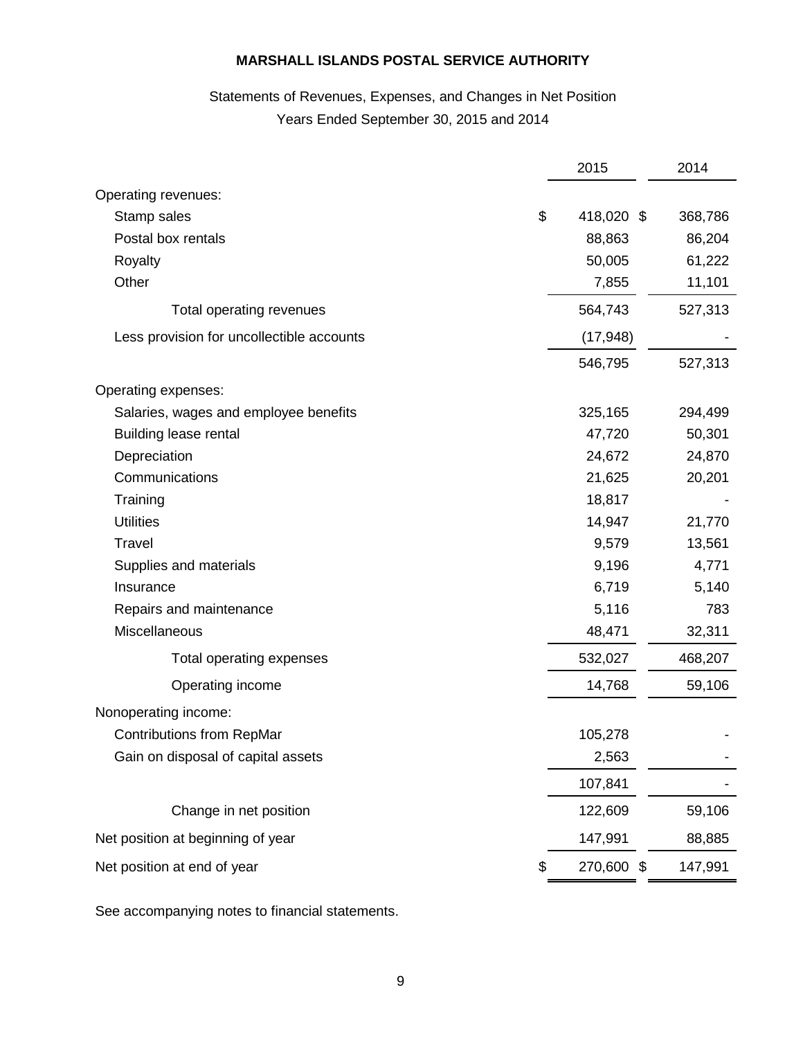# Statements of Revenues, Expenses, and Changes in Net Position Years Ended September 30, 2015 and 2014

|                                           | 2015             | 2014    |
|-------------------------------------------|------------------|---------|
| Operating revenues:                       |                  |         |
| Stamp sales                               | \$<br>418,020 \$ | 368,786 |
| Postal box rentals                        | 88,863           | 86,204  |
| Royalty                                   | 50,005           | 61,222  |
| Other                                     | 7,855            | 11,101  |
| Total operating revenues                  | 564,743          | 527,313 |
| Less provision for uncollectible accounts | (17, 948)        |         |
|                                           | 546,795          | 527,313 |
| Operating expenses:                       |                  |         |
| Salaries, wages and employee benefits     | 325,165          | 294,499 |
| Building lease rental                     | 47,720           | 50,301  |
| Depreciation                              | 24,672           | 24,870  |
| Communications                            | 21,625           | 20,201  |
| Training                                  | 18,817           |         |
| <b>Utilities</b>                          | 14,947           | 21,770  |
| <b>Travel</b>                             | 9,579            | 13,561  |
| Supplies and materials                    | 9,196            | 4,771   |
| Insurance                                 | 6,719            | 5,140   |
| Repairs and maintenance                   | 5,116            | 783     |
| Miscellaneous                             | 48,471           | 32,311  |
| Total operating expenses                  | 532,027          | 468,207 |
| Operating income                          | 14,768           | 59,106  |
| Nonoperating income:                      |                  |         |
| <b>Contributions from RepMar</b>          | 105,278          |         |
| Gain on disposal of capital assets        | 2,563            |         |
|                                           | 107,841          |         |
| Change in net position                    | 122,609          | 59,106  |
| Net position at beginning of year         | 147,991          | 88,885  |
| Net position at end of year               | \$<br>270,600 \$ | 147,991 |

See accompanying notes to financial statements.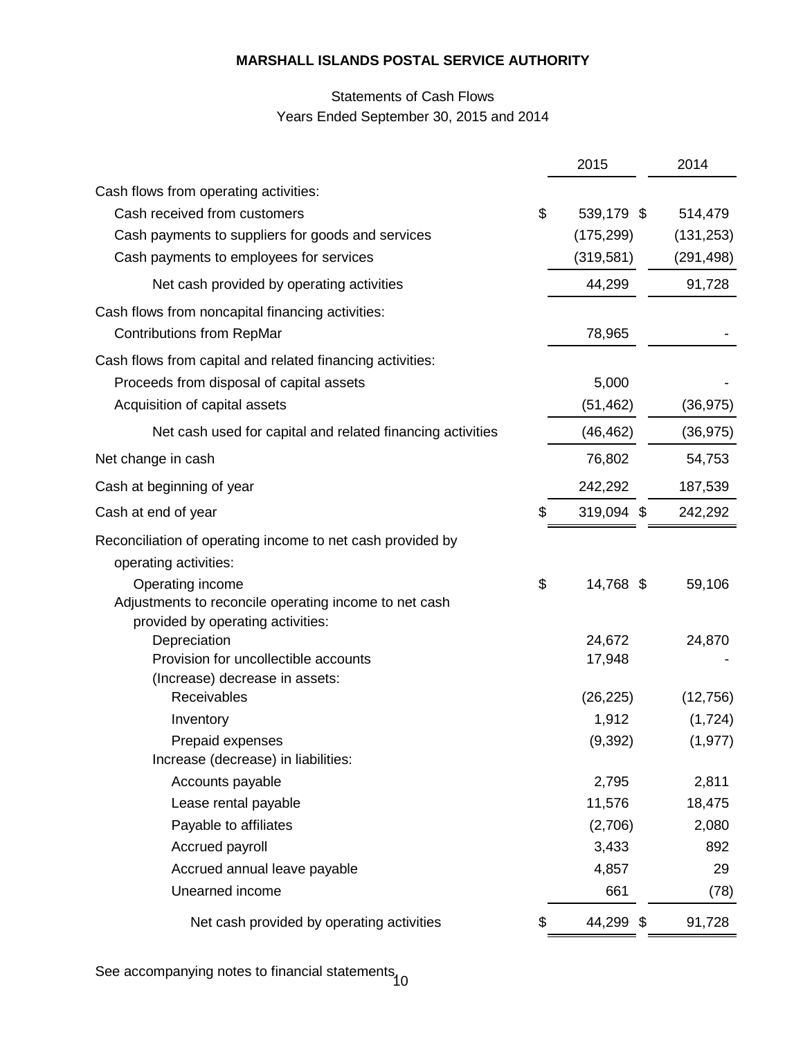# Statements of Cash Flows Years Ended September 30, 2015 and 2014

|                                                            | 2015             | 2014       |
|------------------------------------------------------------|------------------|------------|
| Cash flows from operating activities:                      |                  |            |
| Cash received from customers                               | \$<br>539,179 \$ | 514,479    |
| Cash payments to suppliers for goods and services          | (175, 299)       | (131, 253) |
| Cash payments to employees for services                    | (319, 581)       | (291, 498) |
| Net cash provided by operating activities                  | 44,299           | 91,728     |
| Cash flows from noncapital financing activities:           |                  |            |
| <b>Contributions from RepMar</b>                           | 78,965           |            |
| Cash flows from capital and related financing activities:  |                  |            |
| Proceeds from disposal of capital assets                   | 5,000            |            |
| Acquisition of capital assets                              | (51, 462)        | (36, 975)  |
| Net cash used for capital and related financing activities | (46, 462)        | (36, 975)  |
| Net change in cash                                         | 76,802           | 54,753     |
| Cash at beginning of year                                  | 242,292          | 187,539    |
| Cash at end of year                                        | \$<br>319,094 \$ | 242,292    |
| Reconciliation of operating income to net cash provided by |                  |            |
| operating activities:                                      |                  |            |
| Operating income                                           | \$<br>14,768 \$  | 59,106     |
| Adjustments to reconcile operating income to net cash      |                  |            |
| provided by operating activities:                          |                  |            |
| Depreciation<br>Provision for uncollectible accounts       | 24,672<br>17,948 | 24,870     |
| (Increase) decrease in assets:                             |                  |            |
| Receivables                                                | (26, 225)        | (12,756)   |
| Inventory                                                  | 1,912            | (1, 724)   |
| Prepaid expenses                                           | (9, 392)         | (1, 977)   |
| Increase (decrease) in liabilities:                        |                  |            |
| Accounts payable                                           | 2,795            | 2,811      |
| Lease rental payable                                       | 11,576           | 18,475     |
| Payable to affiliates                                      | (2,706)          | 2,080      |
| Accrued payroll                                            | 3,433            | 892        |
| Accrued annual leave payable                               | 4,857            | 29         |
| Unearned income                                            | 661              | (78)       |
| Net cash provided by operating activities                  | \$<br>44,299 \$  | 91,728     |
|                                                            |                  |            |

See accompanying notes to financial statements,<br>10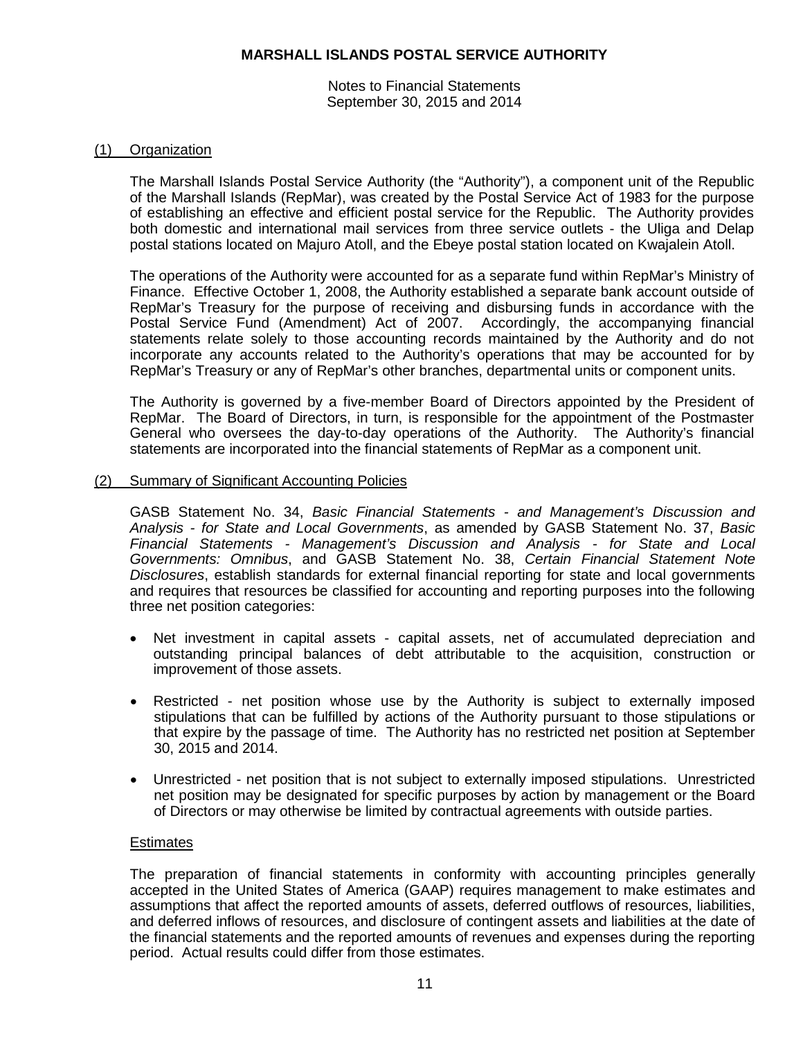Notes to Financial Statements September 30, 2015 and 2014

### (1) Organization

The Marshall Islands Postal Service Authority (the "Authority"), a component unit of the Republic of the Marshall Islands (RepMar), was created by the Postal Service Act of 1983 for the purpose of establishing an effective and efficient postal service for the Republic. The Authority provides both domestic and international mail services from three service outlets - the Uliga and Delap postal stations located on Majuro Atoll, and the Ebeye postal station located on Kwajalein Atoll.

The operations of the Authority were accounted for as a separate fund within RepMar's Ministry of Finance. Effective October 1, 2008, the Authority established a separate bank account outside of RepMar's Treasury for the purpose of receiving and disbursing funds in accordance with the Postal Service Fund (Amendment) Act of 2007. Accordingly, the accompanying financial statements relate solely to those accounting records maintained by the Authority and do not incorporate any accounts related to the Authority's operations that may be accounted for by RepMar's Treasury or any of RepMar's other branches, departmental units or component units.

The Authority is governed by a five-member Board of Directors appointed by the President of RepMar. The Board of Directors, in turn, is responsible for the appointment of the Postmaster General who oversees the day-to-day operations of the Authority. The Authority's financial statements are incorporated into the financial statements of RepMar as a component unit.

### (2) Summary of Significant Accounting Policies

GASB Statement No. 34, *Basic Financial Statements - and Management's Discussion and Analysis - for State and Local Governments*, as amended by GASB Statement No. 37, *Basic Financial Statements - Management's Discussion and Analysis - for State and Local Governments: Omnibus*, and GASB Statement No. 38, *Certain Financial Statement Note Disclosures*, establish standards for external financial reporting for state and local governments and requires that resources be classified for accounting and reporting purposes into the following three net position categories:

- Net investment in capital assets capital assets, net of accumulated depreciation and outstanding principal balances of debt attributable to the acquisition, construction or improvement of those assets.
- Restricted net position whose use by the Authority is subject to externally imposed stipulations that can be fulfilled by actions of the Authority pursuant to those stipulations or that expire by the passage of time. The Authority has no restricted net position at September 30, 2015 and 2014.
- Unrestricted net position that is not subject to externally imposed stipulations. Unrestricted net position may be designated for specific purposes by action by management or the Board of Directors or may otherwise be limited by contractual agreements with outside parties.

## **Estimates**

The preparation of financial statements in conformity with accounting principles generally accepted in the United States of America (GAAP) requires management to make estimates and assumptions that affect the reported amounts of assets, deferred outflows of resources, liabilities, and deferred inflows of resources, and disclosure of contingent assets and liabilities at the date of the financial statements and the reported amounts of revenues and expenses during the reporting period. Actual results could differ from those estimates.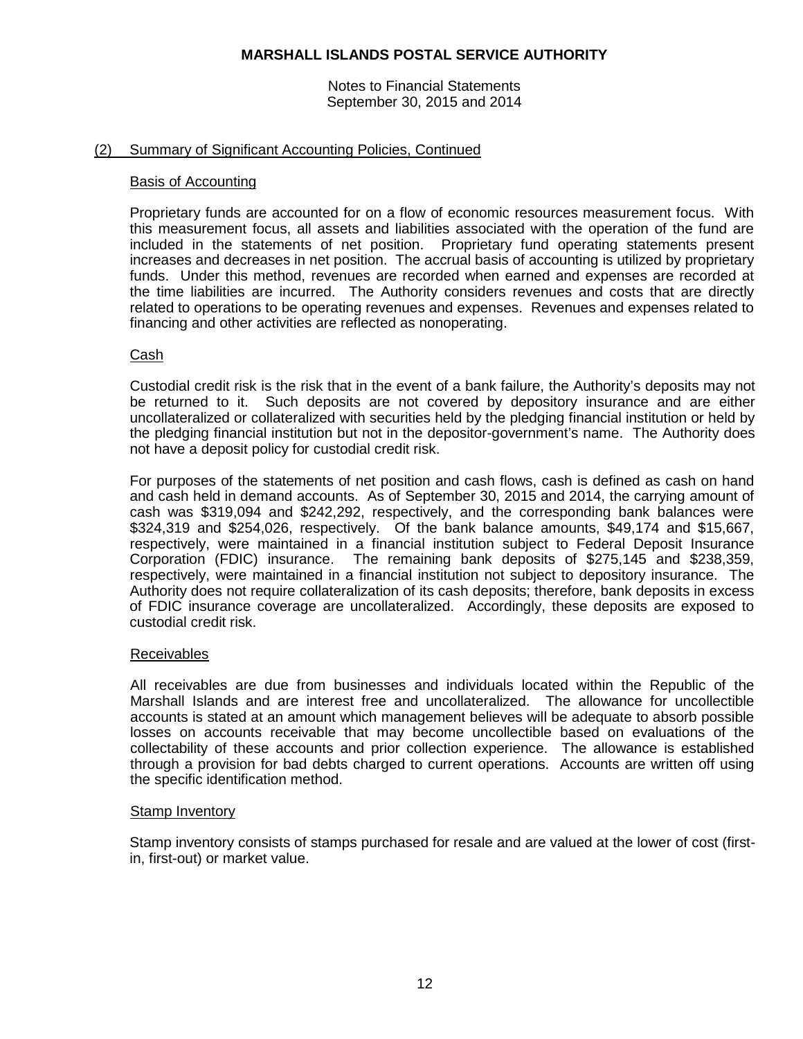Notes to Financial Statements September 30, 2015 and 2014

### (2) Summary of Significant Accounting Policies, Continued

#### Basis of Accounting

Proprietary funds are accounted for on a flow of economic resources measurement focus. With this measurement focus, all assets and liabilities associated with the operation of the fund are included in the statements of net position. Proprietary fund operating statements present increases and decreases in net position. The accrual basis of accounting is utilized by proprietary funds. Under this method, revenues are recorded when earned and expenses are recorded at the time liabilities are incurred. The Authority considers revenues and costs that are directly related to operations to be operating revenues and expenses. Revenues and expenses related to financing and other activities are reflected as nonoperating.

### Cash

Custodial credit risk is the risk that in the event of a bank failure, the Authority's deposits may not be returned to it. Such deposits are not covered by depository insurance and are either uncollateralized or collateralized with securities held by the pledging financial institution or held by the pledging financial institution but not in the depositor-government's name. The Authority does not have a deposit policy for custodial credit risk.

For purposes of the statements of net position and cash flows, cash is defined as cash on hand and cash held in demand accounts. As of September 30, 2015 and 2014, the carrying amount of cash was \$319,094 and \$242,292, respectively, and the corresponding bank balances were \$324,319 and \$254,026, respectively. Of the bank balance amounts, \$49,174 and \$15,667, respectively, were maintained in a financial institution subject to Federal Deposit Insurance Corporation (FDIC) insurance. The remaining bank deposits of \$275,145 and \$238,359, respectively, were maintained in a financial institution not subject to depository insurance. The Authority does not require collateralization of its cash deposits; therefore, bank deposits in excess of FDIC insurance coverage are uncollateralized. Accordingly, these deposits are exposed to custodial credit risk.

### Receivables

All receivables are due from businesses and individuals located within the Republic of the Marshall Islands and are interest free and uncollateralized. The allowance for uncollectible accounts is stated at an amount which management believes will be adequate to absorb possible losses on accounts receivable that may become uncollectible based on evaluations of the collectability of these accounts and prior collection experience. The allowance is established through a provision for bad debts charged to current operations. Accounts are written off using the specific identification method.

### Stamp Inventory

Stamp inventory consists of stamps purchased for resale and are valued at the lower of cost (firstin, first-out) or market value.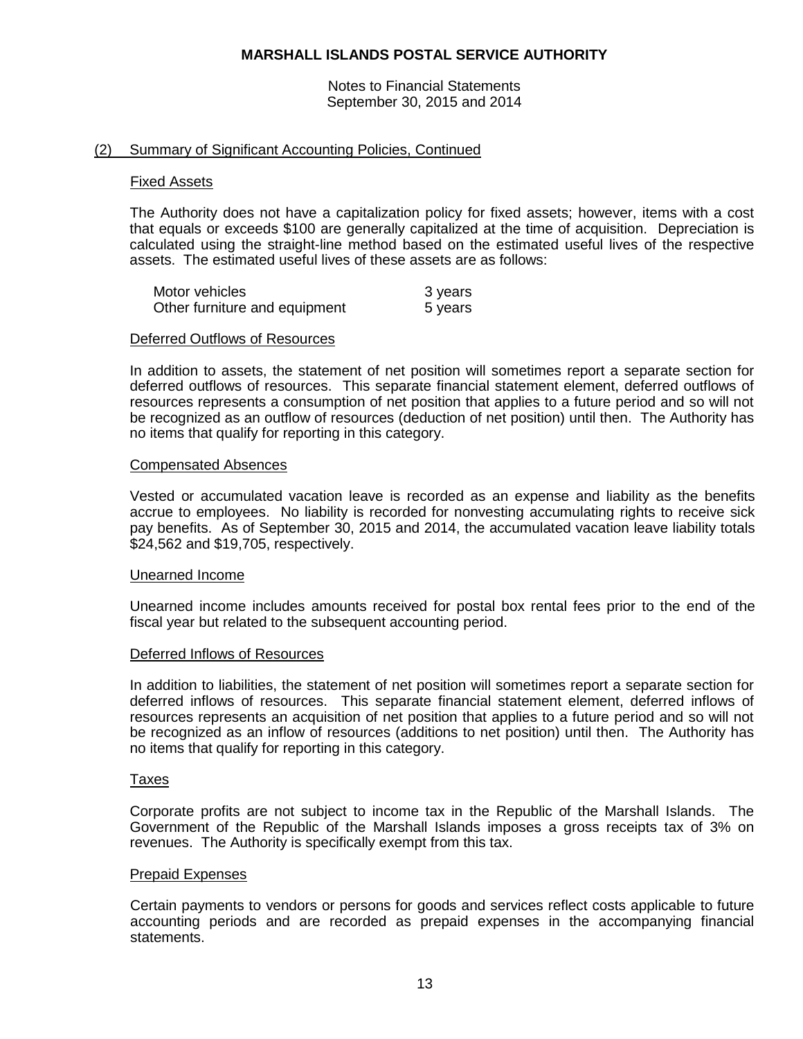Notes to Financial Statements September 30, 2015 and 2014

#### (2) Summary of Significant Accounting Policies, Continued

#### Fixed Assets

The Authority does not have a capitalization policy for fixed assets; however, items with a cost that equals or exceeds \$100 are generally capitalized at the time of acquisition. Depreciation is calculated using the straight-line method based on the estimated useful lives of the respective assets. The estimated useful lives of these assets are as follows:

| Motor vehicles                | 3 years |
|-------------------------------|---------|
| Other furniture and equipment | 5 years |

#### Deferred Outflows of Resources

In addition to assets, the statement of net position will sometimes report a separate section for deferred outflows of resources. This separate financial statement element, deferred outflows of resources represents a consumption of net position that applies to a future period and so will not be recognized as an outflow of resources (deduction of net position) until then. The Authority has no items that qualify for reporting in this category.

#### Compensated Absences

Vested or accumulated vacation leave is recorded as an expense and liability as the benefits accrue to employees. No liability is recorded for nonvesting accumulating rights to receive sick pay benefits. As of September 30, 2015 and 2014, the accumulated vacation leave liability totals \$24,562 and \$19,705, respectively.

#### Unearned Income

Unearned income includes amounts received for postal box rental fees prior to the end of the fiscal year but related to the subsequent accounting period.

#### Deferred Inflows of Resources

In addition to liabilities, the statement of net position will sometimes report a separate section for deferred inflows of resources. This separate financial statement element, deferred inflows of resources represents an acquisition of net position that applies to a future period and so will not be recognized as an inflow of resources (additions to net position) until then. The Authority has no items that qualify for reporting in this category.

#### Taxes

Corporate profits are not subject to income tax in the Republic of the Marshall Islands. The Government of the Republic of the Marshall Islands imposes a gross receipts tax of 3% on revenues. The Authority is specifically exempt from this tax.

#### Prepaid Expenses

Certain payments to vendors or persons for goods and services reflect costs applicable to future accounting periods and are recorded as prepaid expenses in the accompanying financial statements.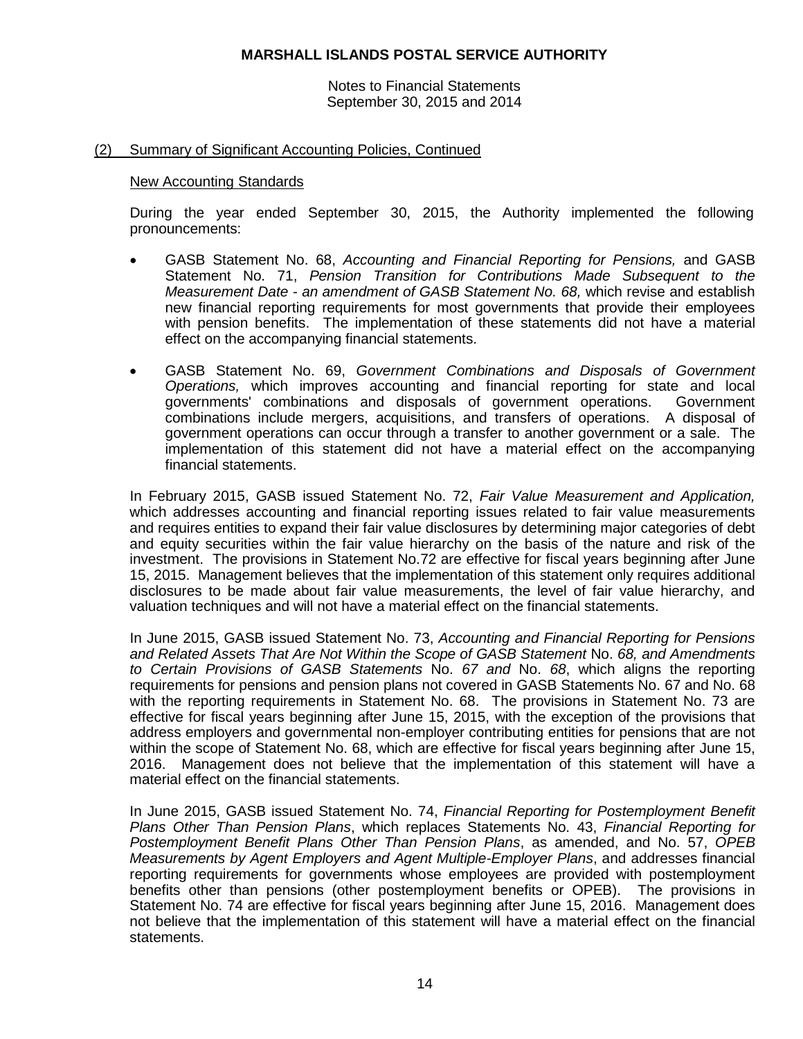Notes to Financial Statements September 30, 2015 and 2014

#### (2) Summary of Significant Accounting Policies, Continued

#### New Accounting Standards

During the year ended September 30, 2015, the Authority implemented the following pronouncements:

- GASB Statement No. 68, *Accounting and Financial Reporting for Pensions,* and GASB Statement No. 71, *Pension Transition for Contributions Made Subsequent to the Measurement Date - an amendment of GASB Statement No. 68,* which revise and establish new financial reporting requirements for most governments that provide their employees with pension benefits. The implementation of these statements did not have a material effect on the accompanying financial statements.
- GASB Statement No. 69, *Government Combinations and Disposals of Government Operations,* which improves accounting and financial reporting for state and local governments' combinations and disposals of government operations. Government combinations include mergers, acquisitions, and transfers of operations. A disposal of government operations can occur through a transfer to another government or a sale. The implementation of this statement did not have a material effect on the accompanying financial statements.

In February 2015, GASB issued Statement No. 72, *Fair Value Measurement and Application,*  which addresses accounting and financial reporting issues related to fair value measurements and requires entities to expand their fair value disclosures by determining major categories of debt and equity securities within the fair value hierarchy on the basis of the nature and risk of the investment. The provisions in Statement No.72 are effective for fiscal years beginning after June 15, 2015. Management believes that the implementation of this statement only requires additional disclosures to be made about fair value measurements, the level of fair value hierarchy, and valuation techniques and will not have a material effect on the financial statements.

In June 2015, GASB issued Statement No. 73, *Accounting and Financial Reporting for Pensions and Related Assets That Are Not Within the Scope of GASB Statement* No. *68, and Amendments to Certain Provisions of GASB Statements* No. *67 and* No. *68*, which aligns the reporting requirements for pensions and pension plans not covered in GASB Statements No. 67 and No. 68 with the reporting requirements in Statement No. 68. The provisions in Statement No. 73 are effective for fiscal years beginning after June 15, 2015, with the exception of the provisions that address employers and governmental non-employer contributing entities for pensions that are not within the scope of Statement No. 68, which are effective for fiscal years beginning after June 15, 2016. Management does not believe that the implementation of this statement will have a material effect on the financial statements.

In June 2015, GASB issued Statement No. 74, *Financial Reporting for Postemployment Benefit Plans Other Than Pension Plans*, which replaces Statements No. 43, *Financial Reporting for Postemployment Benefit Plans Other Than Pension Plans*, as amended, and No. 57, *OPEB Measurements by Agent Employers and Agent Multiple-Employer Plans*, and addresses financial reporting requirements for governments whose employees are provided with postemployment benefits other than pensions (other postemployment benefits or OPEB). The provisions in Statement No. 74 are effective for fiscal years beginning after June 15, 2016. Management does not believe that the implementation of this statement will have a material effect on the financial statements.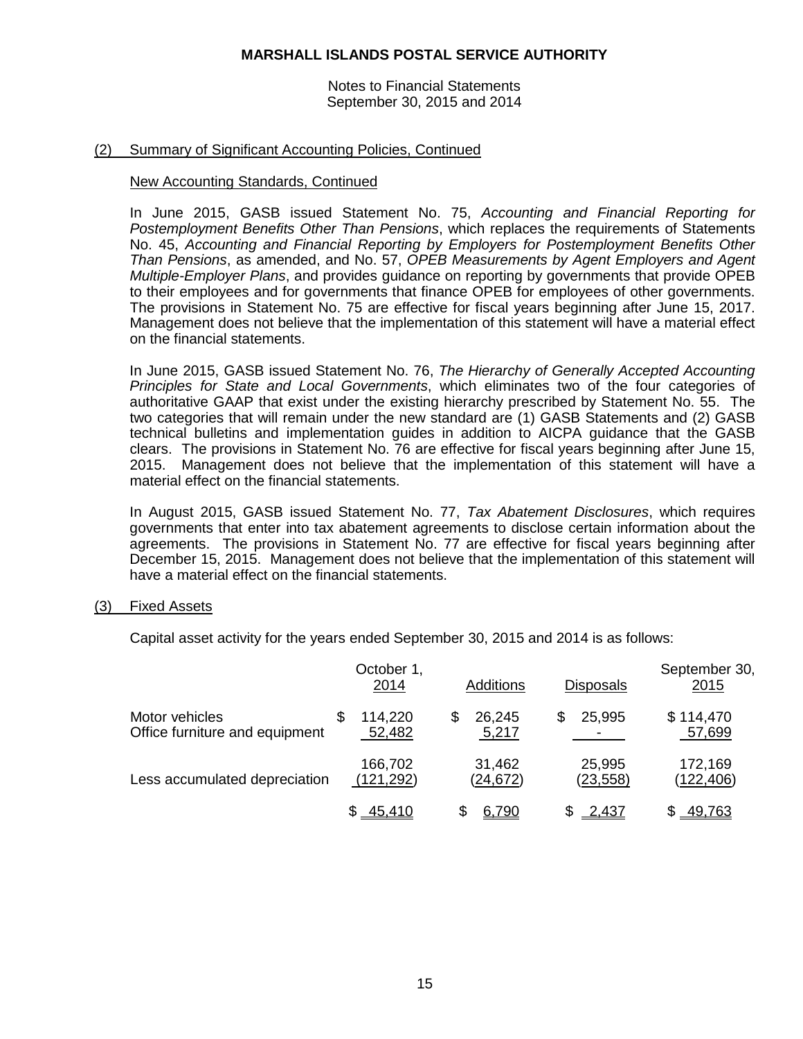Notes to Financial Statements September 30, 2015 and 2014

### (2) Summary of Significant Accounting Policies, Continued

#### New Accounting Standards, Continued

In June 2015, GASB issued Statement No. 75, *Accounting and Financial Reporting for Postemployment Benefits Other Than Pensions*, which replaces the requirements of Statements No. 45, *Accounting and Financial Reporting by Employers for Postemployment Benefits Other Than Pensions*, as amended, and No. 57, *OPEB Measurements by Agent Employers and Agent Multiple-Employer Plans*, and provides guidance on reporting by governments that provide OPEB to their employees and for governments that finance OPEB for employees of other governments. The provisions in Statement No. 75 are effective for fiscal years beginning after June 15, 2017. Management does not believe that the implementation of this statement will have a material effect on the financial statements.

In June 2015, GASB issued Statement No. 76, *The Hierarchy of Generally Accepted Accounting Principles for State and Local Governments*, which eliminates two of the four categories of authoritative GAAP that exist under the existing hierarchy prescribed by Statement No. 55. The two categories that will remain under the new standard are (1) GASB Statements and (2) GASB technical bulletins and implementation guides in addition to AICPA guidance that the GASB clears. The provisions in Statement No. 76 are effective for fiscal years beginning after June 15, 2015. Management does not believe that the implementation of this statement will have a material effect on the financial statements.

In August 2015, GASB issued Statement No. 77, *Tax Abatement Disclosures*, which requires governments that enter into tax abatement agreements to disclose certain information about the agreements. The provisions in Statement No. 77 are effective for fiscal years beginning after December 15, 2015. Management does not believe that the implementation of this statement will have a material effect on the financial statements.

#### (3) Fixed Assets

Capital asset activity for the years ended September 30, 2015 and 2014 is as follows:

|                                | October 1,<br><u>2014</u> | Additions | <b>Disposals</b>   | September 30,<br>2015 |
|--------------------------------|---------------------------|-----------|--------------------|-----------------------|
| Motor vehicles                 | 114,220                   | 26,245    | 25,995             | \$114,470             |
| Office furniture and equipment | 52,482                    | 5,217     |                    | 57,699                |
| Less accumulated depreciation  | 166,702                   | 31,462    | 25,995             | 172,169               |
|                                | (121, 292)                | (24, 672) | (23, 558)          | (122, 406)            |
|                                | <u>45,410</u>             | 6,790     | \$<br><u>2,437</u> | <u>49,763</u>         |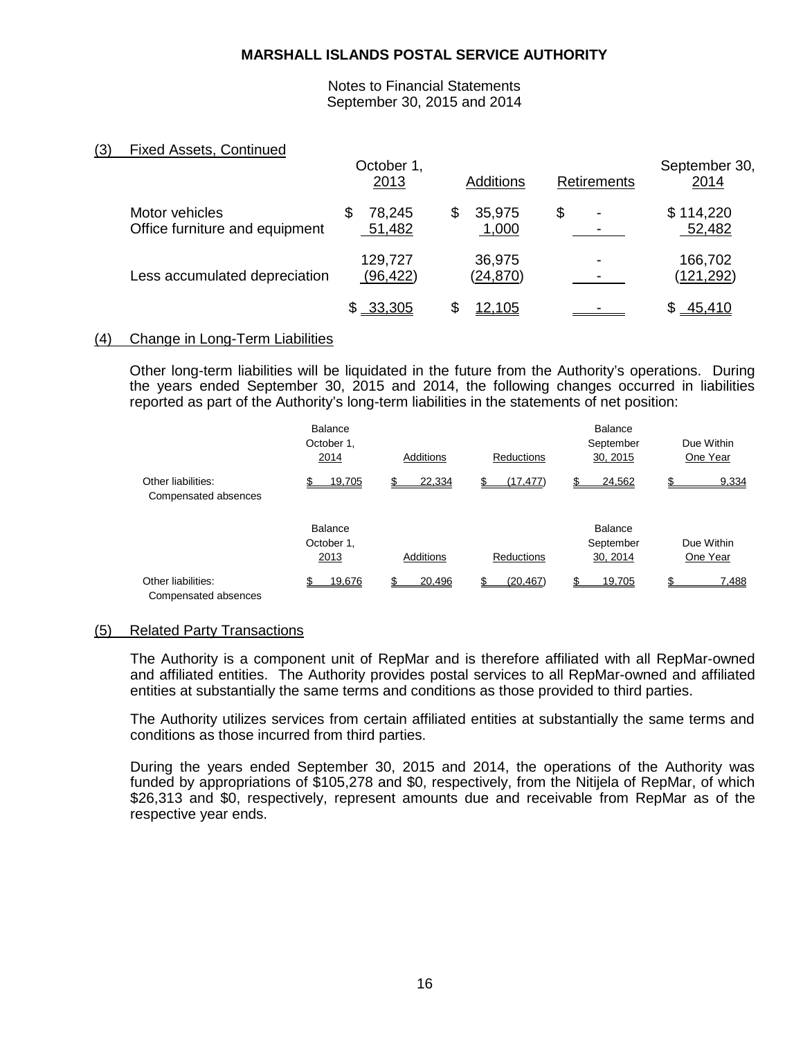Notes to Financial Statements September 30, 2015 and 2014

#### (3) Fixed Assets, Continued

|                                                  | October 1,<br>2013   | Additions            | <b>Retirements</b>       | September 30,<br>2014 |
|--------------------------------------------------|----------------------|----------------------|--------------------------|-----------------------|
| Motor vehicles<br>Office furniture and equipment | 78,245<br>51,482     | 35,975<br>S<br>1,000 | \$<br>-                  | \$114,220<br>52,482   |
| Less accumulated depreciation                    | 129,727<br>(96, 422) | 36,975<br>(24, 870)  | $\overline{\phantom{a}}$ | 166,702<br>(121, 292) |
|                                                  | \$ 33,305            | <u>12,105</u>        |                          | \$ 45,410             |

#### (4) Change in Long-Term Liabilities

Other long-term liabilities will be liquidated in the future from the Authority's operations. During the years ended September 30, 2015 and 2014, the following changes occurred in liabilities reported as part of the Authority's long-term liabilities in the statements of net position:

|                                            | Balance<br>October 1,<br>2014        | <b>Additions</b> | <b>Reductions</b> | <b>Balance</b><br>September<br>30, 2015 | Due Within<br>One Year |
|--------------------------------------------|--------------------------------------|------------------|-------------------|-----------------------------------------|------------------------|
| Other liabilities:<br>Compensated absences | 19.705                               | 22.334           | (17.477)          | 24,562                                  | 9.334                  |
|                                            | <b>Balance</b><br>October 1.<br>2013 | Additions        | Reductions        | Balance<br>September<br>30, 2014        | Due Within<br>One Year |
| Other liabilities:<br>Compensated absences | 19,676                               | 20,496           | (20,467)          | 19,705                                  | 7,488                  |

#### (5) Related Party Transactions

The Authority is a component unit of RepMar and is therefore affiliated with all RepMar-owned and affiliated entities. The Authority provides postal services to all RepMar-owned and affiliated entities at substantially the same terms and conditions as those provided to third parties.

The Authority utilizes services from certain affiliated entities at substantially the same terms and conditions as those incurred from third parties.

During the years ended September 30, 2015 and 2014, the operations of the Authority was funded by appropriations of \$105,278 and \$0, respectively, from the Nitijela of RepMar, of which \$26,313 and \$0, respectively, represent amounts due and receivable from RepMar as of the respective year ends.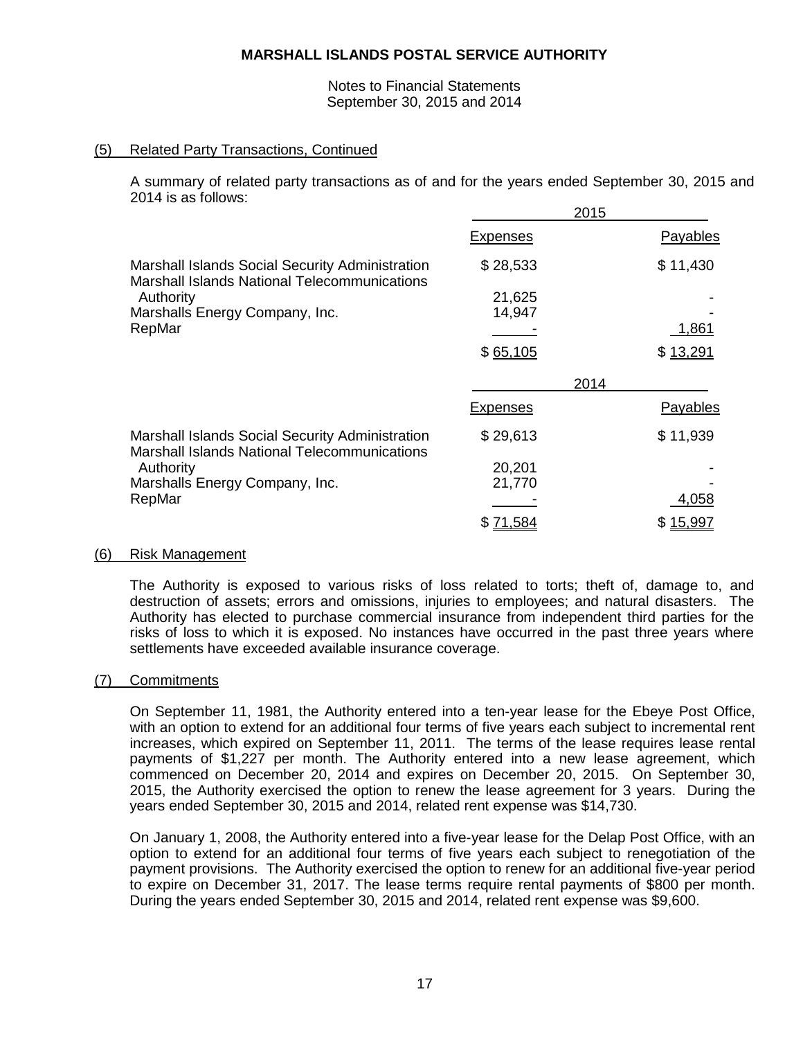Notes to Financial Statements September 30, 2015 and 2014

## (5) Related Party Transactions, Continued

A summary of related party transactions as of and for the years ended September 30, 2015 and 2014 is as follows:

|                                                                                                        |                 | 2015     |
|--------------------------------------------------------------------------------------------------------|-----------------|----------|
|                                                                                                        | <b>Expenses</b> | Payables |
| Marshall Islands Social Security Administration<br><b>Marshall Islands National Telecommunications</b> | \$28,533        | \$11,430 |
| Authority                                                                                              | 21,625          |          |
| Marshalls Energy Company, Inc.                                                                         | 14,947          |          |
| RepMar                                                                                                 |                 | 1,861    |
|                                                                                                        | \$65,105        | \$13,291 |
|                                                                                                        |                 | 2014     |
|                                                                                                        | <b>Expenses</b> | Payables |
| Marshall Islands Social Security Administration<br><b>Marshall Islands National Telecommunications</b> | \$29,613        | \$11,939 |
| Authority                                                                                              | 20,201          |          |
| Marshalls Energy Company, Inc.                                                                         | 21,770          |          |
| RepMar                                                                                                 |                 | 4,058    |
|                                                                                                        | \$ 71,584       | \$15.997 |

#### (6) Risk Management

The Authority is exposed to various risks of loss related to torts; theft of, damage to, and destruction of assets; errors and omissions, injuries to employees; and natural disasters. The Authority has elected to purchase commercial insurance from independent third parties for the risks of loss to which it is exposed. No instances have occurred in the past three years where settlements have exceeded available insurance coverage.

### (7) Commitments

On September 11, 1981, the Authority entered into a ten-year lease for the Ebeye Post Office, with an option to extend for an additional four terms of five years each subject to incremental rent increases, which expired on September 11, 2011. The terms of the lease requires lease rental payments of \$1,227 per month. The Authority entered into a new lease agreement, which commenced on December 20, 2014 and expires on December 20, 2015. On September 30, 2015, the Authority exercised the option to renew the lease agreement for 3 years. During the years ended September 30, 2015 and 2014, related rent expense was \$14,730.

On January 1, 2008, the Authority entered into a five-year lease for the Delap Post Office, with an option to extend for an additional four terms of five years each subject to renegotiation of the payment provisions. The Authority exercised the option to renew for an additional five-year period to expire on December 31, 2017. The lease terms require rental payments of \$800 per month. During the years ended September 30, 2015 and 2014, related rent expense was \$9,600.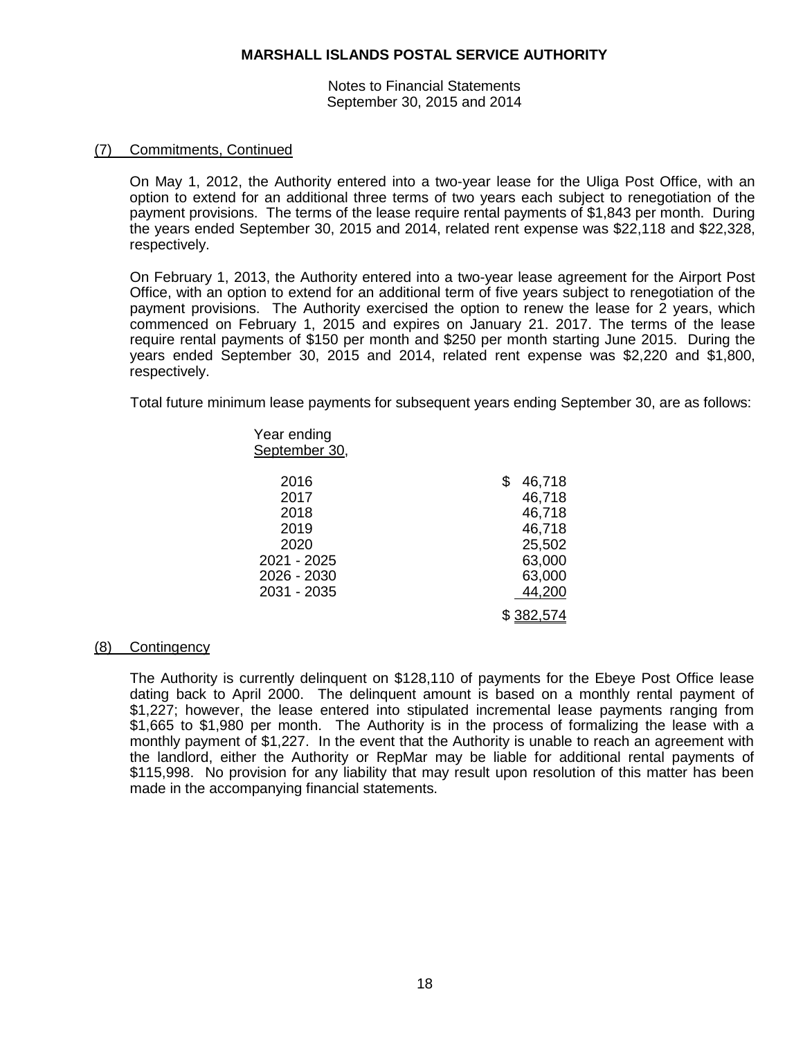Notes to Financial Statements September 30, 2015 and 2014

### (7) Commitments, Continued

On May 1, 2012, the Authority entered into a two-year lease for the Uliga Post Office, with an option to extend for an additional three terms of two years each subject to renegotiation of the payment provisions. The terms of the lease require rental payments of \$1,843 per month. During the years ended September 30, 2015 and 2014, related rent expense was \$22,118 and \$22,328, respectively.

On February 1, 2013, the Authority entered into a two-year lease agreement for the Airport Post Office, with an option to extend for an additional term of five years subject to renegotiation of the payment provisions. The Authority exercised the option to renew the lease for 2 years, which commenced on February 1, 2015 and expires on January 21. 2017. The terms of the lease require rental payments of \$150 per month and \$250 per month starting June 2015. During the years ended September 30, 2015 and 2014, related rent expense was \$2,220 and \$1,800, respectively.

Total future minimum lease payments for subsequent years ending September 30, are as follows:

| Year ending<br>September 30, |             |
|------------------------------|-------------|
| 2016                         | 46,718<br>S |
| 2017                         | 46,718      |
| 2018                         | 46,718      |
| 2019                         | 46,718      |
| 2020                         | 25,502      |
| 2021 - 2025                  | 63,000      |
| 2026 - 2030                  | 63,000      |
| 2031 - 2035                  | 44,200      |
|                              | \$382,574   |

#### (8) Contingency

The Authority is currently delinquent on \$128,110 of payments for the Ebeye Post Office lease dating back to April 2000. The delinquent amount is based on a monthly rental payment of \$1,227; however, the lease entered into stipulated incremental lease payments ranging from \$1,665 to \$1,980 per month. The Authority is in the process of formalizing the lease with a monthly payment of \$1,227. In the event that the Authority is unable to reach an agreement with the landlord, either the Authority or RepMar may be liable for additional rental payments of \$115,998. No provision for any liability that may result upon resolution of this matter has been made in the accompanying financial statements.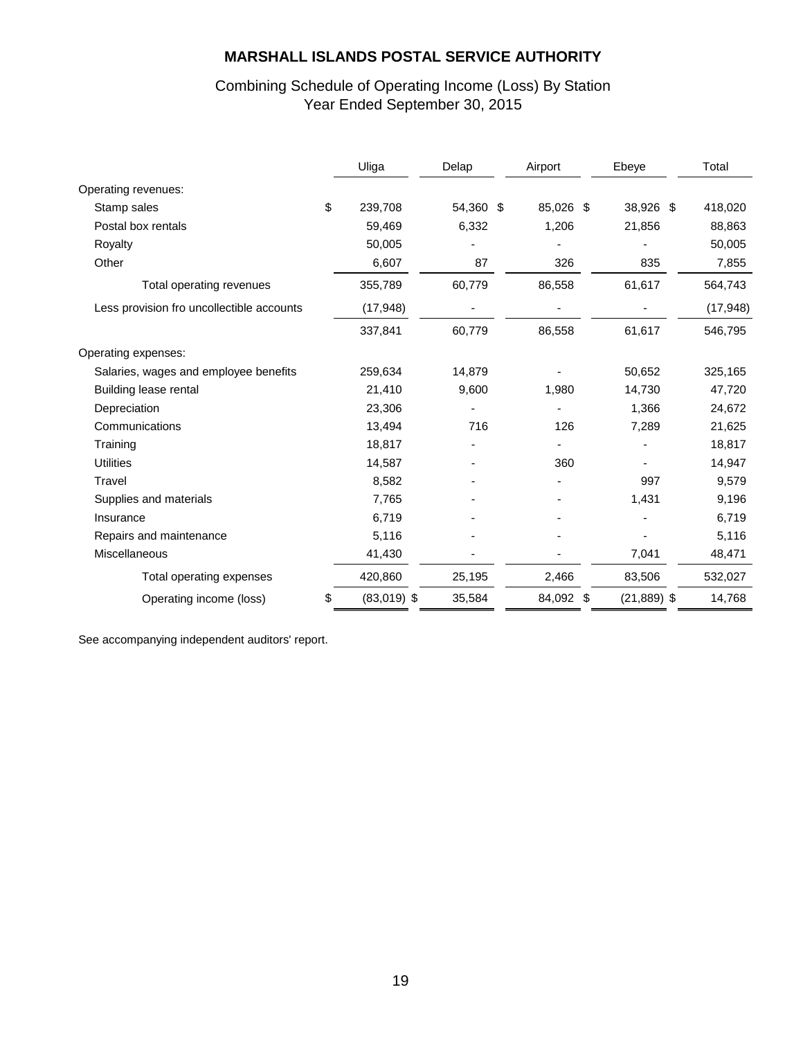## Combining Schedule of Operating Income (Loss) By Station Year Ended September 30, 2015

|                                           | Uliga               | Delap<br>Airport |  |           | Ebeye |                | Total     |
|-------------------------------------------|---------------------|------------------|--|-----------|-------|----------------|-----------|
| Operating revenues:                       |                     |                  |  |           |       |                |           |
| Stamp sales                               | \$<br>239,708       | 54,360 \$        |  | 85,026 \$ |       | 38.926 \$      | 418,020   |
| Postal box rentals                        | 59,469              | 6,332            |  | 1,206     |       | 21,856         | 88,863    |
| Royalty                                   | 50,005              |                  |  |           |       |                | 50,005    |
| Other                                     | 6,607               | 87               |  | 326       |       | 835            | 7,855     |
| Total operating revenues                  | 355,789             | 60,779           |  | 86,558    |       | 61,617         | 564,743   |
| Less provision fro uncollectible accounts | (17, 948)           |                  |  |           |       |                | (17, 948) |
|                                           | 337,841             | 60,779           |  | 86,558    |       | 61,617         | 546,795   |
| Operating expenses:                       |                     |                  |  |           |       |                |           |
| Salaries, wages and employee benefits     | 259,634             | 14,879           |  |           |       | 50,652         | 325,165   |
| Building lease rental                     | 21,410              | 9,600            |  | 1,980     |       | 14,730         | 47,720    |
| Depreciation                              | 23,306              |                  |  |           |       | 1,366          | 24,672    |
| Communications                            | 13,494              | 716              |  | 126       |       | 7,289          | 21,625    |
| Training                                  | 18,817              |                  |  |           |       |                | 18,817    |
| <b>Utilities</b>                          | 14,587              |                  |  | 360       |       |                | 14,947    |
| Travel                                    | 8,582               |                  |  |           |       | 997            | 9,579     |
| Supplies and materials                    | 7,765               |                  |  |           |       | 1,431          | 9,196     |
| Insurance                                 | 6,719               |                  |  |           |       |                | 6,719     |
| Repairs and maintenance                   | 5,116               |                  |  |           |       |                | 5,116     |
| <b>Miscellaneous</b>                      | 41,430              |                  |  |           |       | 7,041          | 48,471    |
| Total operating expenses                  | 420,860             | 25,195           |  | 2,466     |       | 83,506         | 532,027   |
| Operating income (loss)                   | \$<br>$(83,019)$ \$ | 35,584           |  | 84,092 \$ |       | $(21, 889)$ \$ | 14,768    |

See accompanying independent auditors' report.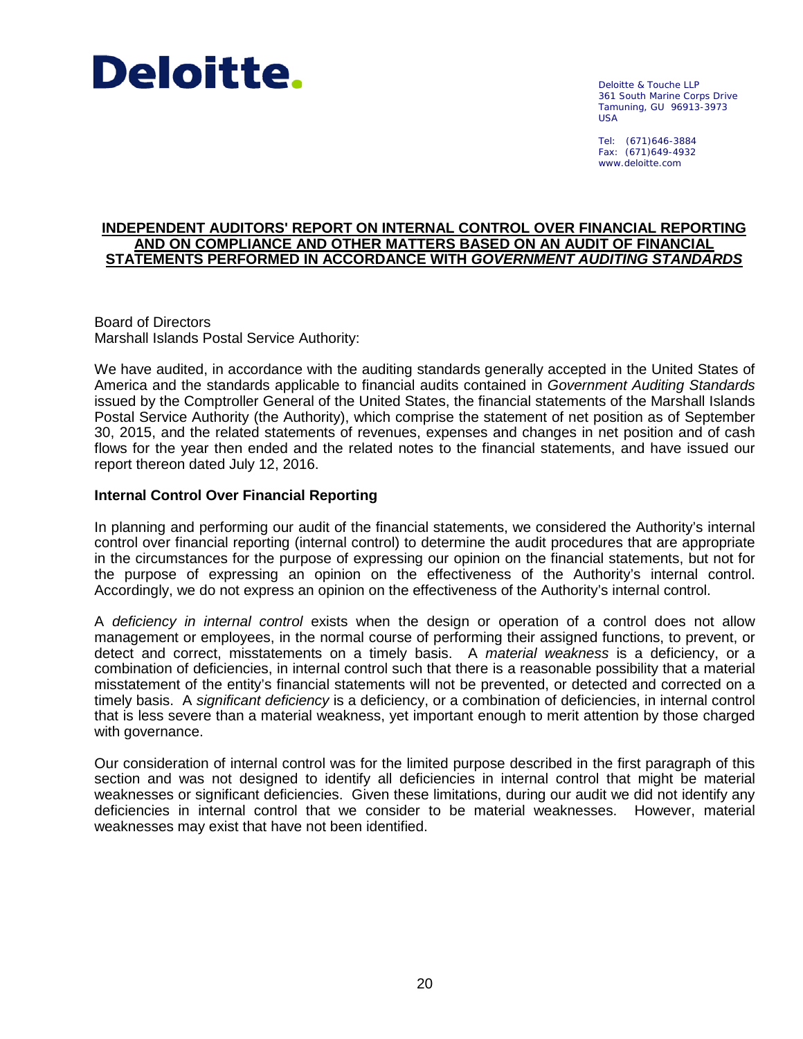

Deloitte & Touche LLP 361 South Marine Corps Drive Tamuning, GU 96913-3973 USA

Tel: (671)646-3884 Fax: (671)649-4932 www.deloitte.com

### **INDEPENDENT AUDITORS' REPORT ON INTERNAL CONTROL OVER FINANCIAL REPORTING AND ON COMPLIANCE AND OTHER MATTERS BASED ON AN AUDIT OF FINANCIAL STATEMENTS PERFORMED IN ACCORDANCE WITH** *GOVERNMENT AUDITING STANDARDS*

Board of Directors Marshall Islands Postal Service Authority:

We have audited, in accordance with the auditing standards generally accepted in the United States of America and the standards applicable to financial audits contained in *Government Auditing Standards* issued by the Comptroller General of the United States, the financial statements of the Marshall Islands Postal Service Authority (the Authority), which comprise the statement of net position as of September 30, 2015, and the related statements of revenues, expenses and changes in net position and of cash flows for the year then ended and the related notes to the financial statements, and have issued our report thereon dated July 12, 2016.

### **Internal Control Over Financial Reporting**

In planning and performing our audit of the financial statements, we considered the Authority's internal control over financial reporting (internal control) to determine the audit procedures that are appropriate in the circumstances for the purpose of expressing our opinion on the financial statements, but not for the purpose of expressing an opinion on the effectiveness of the Authority's internal control. Accordingly, we do not express an opinion on the effectiveness of the Authority's internal control.

A *deficiency in internal control* exists when the design or operation of a control does not allow management or employees, in the normal course of performing their assigned functions, to prevent, or detect and correct, misstatements on a timely basis. A *material weakness* is a deficiency, or a combination of deficiencies, in internal control such that there is a reasonable possibility that a material misstatement of the entity's financial statements will not be prevented, or detected and corrected on a timely basis. A *significant deficiency* is a deficiency, or a combination of deficiencies, in internal control that is less severe than a material weakness, yet important enough to merit attention by those charged with governance.

Our consideration of internal control was for the limited purpose described in the first paragraph of this section and was not designed to identify all deficiencies in internal control that might be material weaknesses or significant deficiencies. Given these limitations, during our audit we did not identify any deficiencies in internal control that we consider to be material weaknesses. However, material weaknesses may exist that have not been identified.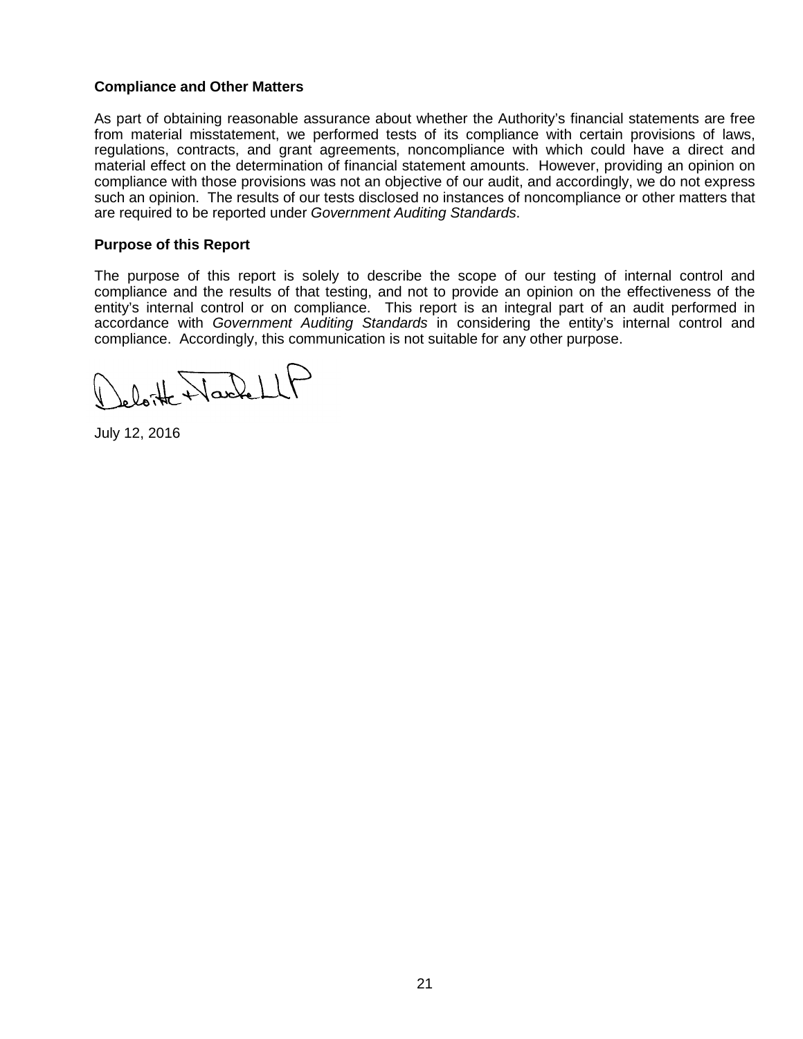## **Compliance and Other Matters**

As part of obtaining reasonable assurance about whether the Authority's financial statements are free from material misstatement, we performed tests of its compliance with certain provisions of laws, regulations, contracts, and grant agreements, noncompliance with which could have a direct and material effect on the determination of financial statement amounts. However, providing an opinion on compliance with those provisions was not an objective of our audit, and accordingly, we do not express such an opinion. The results of our tests disclosed no instances of noncompliance or other matters that are required to be reported under *Government Auditing Standards*.

### **Purpose of this Report**

The purpose of this report is solely to describe the scope of our testing of internal control and compliance and the results of that testing, and not to provide an opinion on the effectiveness of the entity's internal control or on compliance. This report is an integral part of an audit performed in accordance with *Government Auditing Standards* in considering the entity's internal control and compliance. Accordingly, this communication is not suitable for any other purpose.

lot Nachell

July 12, 2016